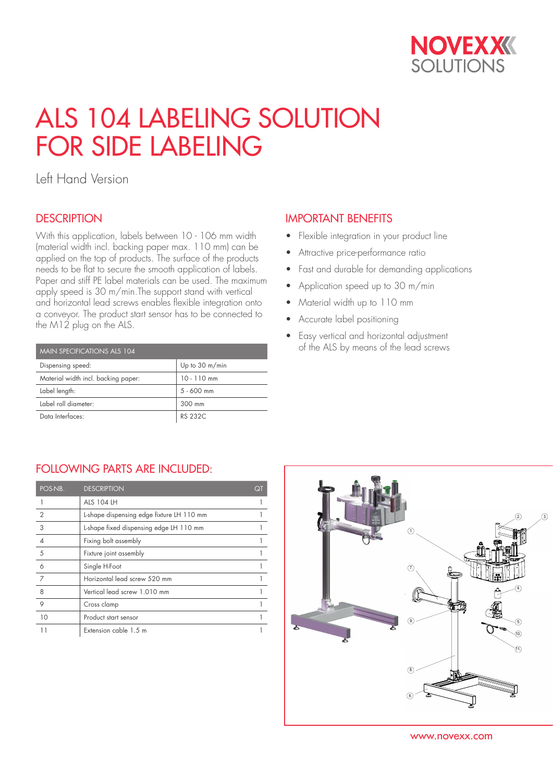

# ALS 104 LABELING SOLUTION FOR SIDE LABELING

Left Hand Version

### **DESCRIPTION**

With this application, labels between 10 - 106 mm width (material width incl. backing paper max. 110 mm) can be applied on the top of products. The surface of the products needs to be flat to secure the smooth application of labels. Paper and stiff PE label materials can be used. The maximum apply speed is 30 m/min.The support stand with vertical and horizontal lead screws enables flexible integration onto a conveyor. The product start sensor has to be connected to the M12 plug on the ALS.

| MAIN SPECIFICATIONS ALS 104         |                |  |  |  |
|-------------------------------------|----------------|--|--|--|
| Dispensing speed:                   | Up to 30 m/min |  |  |  |
| Material width incl. backing paper: | $10 - 110$ mm  |  |  |  |
| Label length:                       | $5 - 600$ mm   |  |  |  |
| Label roll diameter:                | 300 mm         |  |  |  |
| Data Interfaces:                    | RS 232C        |  |  |  |

## IMPORTANT BENEFITS

- Flexible integration in your product line
- Attractive price-performance ratio
- Fast and durable for demanding applications
- Application speed up to 30 m/min
- Material width up to 110 mm
- Accurate label positioning
- Easy vertical and horizontal adjustment of the ALS by means of the lead screws

#### FOLLOWING PARTS ARE INCLUDED:

| POS-NB.        | <b>DESCRIPTION</b>                        | QT |
|----------------|-------------------------------------------|----|
|                | <b>ALS 104 LH</b>                         |    |
| $\overline{2}$ | L-shape dispensing edge fixture LH 110 mm |    |
| 3              | L-shape fixed dispensing edge LH 110 mm   |    |
|                | Fixing bolt assembly                      |    |
| 5              | Fixture joint assembly                    |    |
| 6              | Single H-Foot                             |    |
| 7              | Horizontal lead screw 520 mm              |    |
| 8              | Vertical lead screw 1.010 mm              |    |
| 9              | Cross clamp                               |    |
| 10             | Product start sensor                      |    |
|                | Extension cable 1.5 m                     |    |